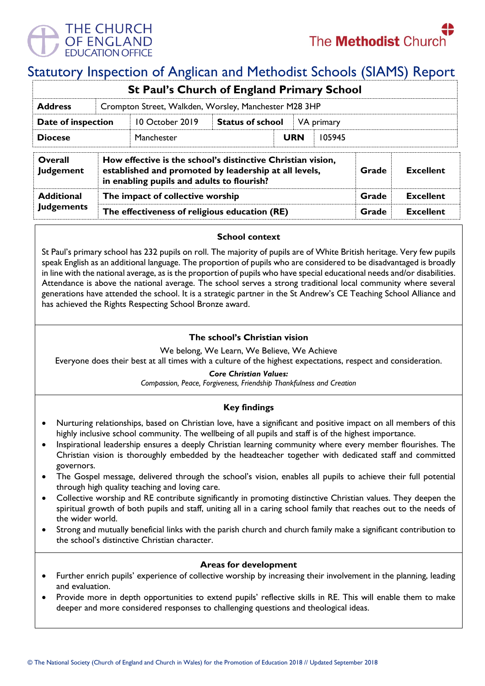

# Statutory Inspection of Anglican and Methodist Schools (SIAMS) Report

|                             |                                                                                                                                                                                                 | St Paul's Church of England Primary School |                                       |            |        |                  |  |  |
|-----------------------------|-------------------------------------------------------------------------------------------------------------------------------------------------------------------------------------------------|--------------------------------------------|---------------------------------------|------------|--------|------------------|--|--|
| <b>Address</b>              | Crompton Street, Walkden, Worsley, Manchester M28 3HP                                                                                                                                           |                                            |                                       |            |        |                  |  |  |
| Date of inspection          |                                                                                                                                                                                                 | 10 October 2019                            | <b>Status of school</b><br>VA primary |            |        |                  |  |  |
| <b>Diocese</b>              |                                                                                                                                                                                                 | Manchester                                 |                                       | <b>URN</b> | 105945 |                  |  |  |
| Overall<br><b>Judgement</b> | How effective is the school's distinctive Christian vision,<br>established and promoted by leadership at all levels,<br><b>Excellent</b><br>Grade<br>in enabling pupils and adults to flourish? |                                            |                                       |            |        |                  |  |  |
| <b>Additional</b>           | The impact of collective worship                                                                                                                                                                |                                            |                                       |            | Grade  | <b>Excellent</b> |  |  |
| <b>Judgements</b>           | The effectiveness of religious education (RE)                                                                                                                                                   |                                            |                                       |            | Grade  | <b>Excellent</b> |  |  |

## **School context**

St Paul's primary school has 232 pupils on roll. The majority of pupils are of White British heritage. Very few pupils speak English as an additional language. The proportion of pupils who are considered to be disadvantaged is broadly in line with the national average, as is the proportion of pupils who have special educational needs and/or disabilities. Attendance is above the national average. The school serves a strong traditional local community where several generations have attended the school. It is a strategic partner in the St Andrew's CE Teaching School Alliance and has achieved the Rights Respecting School Bronze award.

# **The school's Christian vision**

We belong, We Learn, We Believe, We Achieve

Everyone does their best at all times with a culture of the highest expectations, respect and consideration.

## *Core Christian Values:*

*Compassion, Peace, Forgiveness, Friendship Thankfulness and Creation* 

# **Key findings**

- Nurturing relationships, based on Christian love, have a significant and positive impact on all members of this highly inclusive school community. The wellbeing of all pupils and staff is of the highest importance.
- Inspirational leadership ensures a deeply Christian learning community where every member flourishes. The Christian vision is thoroughly embedded by the headteacher together with dedicated staff and committed governors.
- The Gospel message, delivered through the school's vision, enables all pupils to achieve their full potential through high quality teaching and loving care.
- Collective worship and RE contribute significantly in promoting distinctive Christian values. They deepen the spiritual growth of both pupils and staff, uniting all in a caring school family that reaches out to the needs of the wider world.
- Strong and mutually beneficial links with the parish church and church family make a significant contribution to the school's distinctive Christian character.

## **Areas for development**

- Further enrich pupils' experience of collective worship by increasing their involvement in the planning, leading and evaluation.
- Provide more in depth opportunities to extend pupils' reflective skills in RE. This will enable them to make deeper and more considered responses to challenging questions and theological ideas.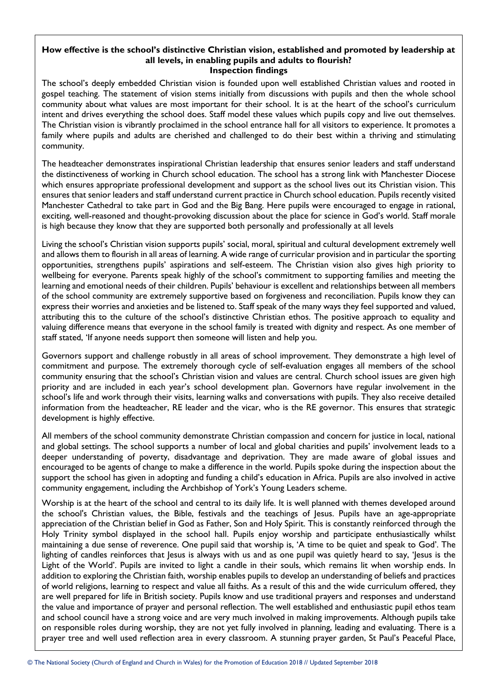#### **How effective is the school's distinctive Christian vision, established and promoted by leadership at all levels, in enabling pupils and adults to flourish? Inspection findings**

The school's deeply embedded Christian vision is founded upon well established Christian values and rooted in gospel teaching. The statement of vision stems initially from discussions with pupils and then the whole school community about what values are most important for their school. It is at the heart of the school's curriculum intent and drives everything the school does. Staff model these values which pupils copy and live out themselves. The Christian vision is vibrantly proclaimed in the school entrance hall for all visitors to experience. It promotes a family where pupils and adults are cherished and challenged to do their best within a thriving and stimulating community.

The headteacher demonstrates inspirational Christian leadership that ensures senior leaders and staff understand the distinctiveness of working in Church school education. The school has a strong link with Manchester Diocese which ensures appropriate professional development and support as the school lives out its Christian vision. This ensures that senior leaders and staff understand current practice in Church school education. Pupils recently visited Manchester Cathedral to take part in God and the Big Bang. Here pupils were encouraged to engage in rational, exciting, well-reasoned and thought-provoking discussion about the place for science in God's world. Staff morale is high because they know that they are supported both personally and professionally at all levels

Living the school's Christian vision supports pupils' social, moral, spiritual and cultural development extremely well and allows them to flourish in all areas of learning. A wide range of curricular provision and in particular the sporting opportunities, strengthens pupils' aspirations and self-esteem. The Christian vision also gives high priority to wellbeing for everyone. Parents speak highly of the school's commitment to supporting families and meeting the learning and emotional needs of their children. Pupils' behaviour is excellent and relationships between all members of the school community are extremely supportive based on forgiveness and reconciliation. Pupils know they can express their worries and anxieties and be listened to. Staff speak of the many ways they feel supported and valued, attributing this to the culture of the school's distinctive Christian ethos. The positive approach to equality and valuing difference means that everyone in the school family is treated with dignity and respect. As one member of staff stated, 'If anyone needs support then someone will listen and help you.

Governors support and challenge robustly in all areas of school improvement. They demonstrate a high level of commitment and purpose. The extremely thorough cycle of self-evaluation engages all members of the school community ensuring that the school's Christian vision and values are central. Church school issues are given high priority and are included in each year's school development plan. Governors have regular involvement in the school's life and work through their visits, learning walks and conversations with pupils. They also receive detailed information from the headteacher, RE leader and the vicar, who is the RE governor. This ensures that strategic development is highly effective.

All members of the school community demonstrate Christian compassion and concern for justice in local, national and global settings. The school supports a number of local and global charities and pupils' involvement leads to a deeper understanding of poverty, disadvantage and deprivation. They are made aware of global issues and encouraged to be agents of change to make a difference in the world. Pupils spoke during the inspection about the support the school has given in adopting and funding a child's education in Africa. Pupils are also involved in active community engagement, including the Archbishop of York's Young Leaders scheme.

Worship is at the heart of the school and central to its daily life. It is well planned with themes developed around the school's Christian values, the Bible, festivals and the teachings of Jesus. Pupils have an age-appropriate appreciation of the Christian belief in God as Father, Son and Holy Spirit. This is constantly reinforced through the Holy Trinity symbol displayed in the school hall. Pupils enjoy worship and participate enthusiastically whilst maintaining a due sense of reverence. One pupil said that worship is, 'A time to be quiet and speak to God'. The lighting of candles reinforces that Jesus is always with us and as one pupil was quietly heard to say, 'Jesus is the Light of the World'. Pupils are invited to light a candle in their souls, which remains lit when worship ends. In addition to exploring the Christian faith, worship enables pupils to develop an understanding of beliefs and practices of world religions, learning to respect and value all faiths. As a result of this and the wide curriculum offered, they are well prepared for life in British society. Pupils know and use traditional prayers and responses and understand the value and importance of prayer and personal reflection. The well established and enthusiastic pupil ethos team and school council have a strong voice and are very much involved in making improvements. Although pupils take on responsible roles during worship, they are not yet fully involved in planning, leading and evaluating. There is a prayer tree and well used reflection area in every classroom. A stunning prayer garden, St Paul's Peaceful Place,